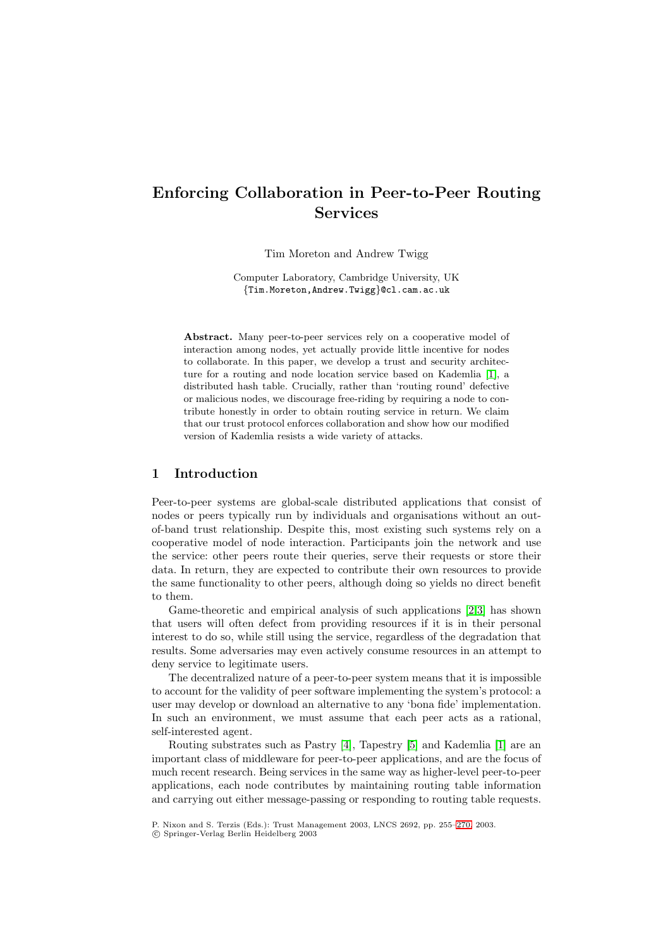# **Enforcing Collaboration in Peer-to-Peer Routing Services**

Tim Moreton and Andrew Twigg

Computer Laboratory, Cambridge University, UK {Tim.Moreton,Andrew.Twigg}@cl.cam.ac.uk

Abstract. Many peer-to-peer services rely on a cooperative model of interaction among nodes, yet actually provide little incentive for nodes to collaborate. In this paper, we develop a trust and security architecture for a routing and node location service based on Kademlia [\[1\]](#page-14-0), a distributed hash table. Crucially, rather than 'routing round' defective or malicious nodes, we discourage free-riding by requiring a node to contribute honestly in order to obtain routing service in return. We claim that our trust protocol enforces collaboration and show how our modified version of Kademlia resists a wide variety of attacks.

# **1 Introduction**

Peer-to-peer systems are global-scale distributed applications that consist of nodes or peers typically run by individuals and organisations without an outof-band trust relationship. Despite this, most existing such systems rely on a cooperative model of node interaction. Participants join the networkand use the service: other peers route their queries, serve their requests or store their data. In return, they are expected to contribute their own resources to provide the same functionality to other peers, although doing so yields no direct benefit to them.

Game-theoretic and empirical analysis of such applications [\[2,3\]](#page-14-0) has shown that users will often defect from providing resources if it is in their personal interest to do so, while still using the service, regardless of the degradation that results. Some adversaries may even actively consume resources in an attempt to deny service to legitimate users.

The decentralized nature of a peer-to-peer system means that it is impossible to account for the validity of peer software implementing the system's protocol: a user may develop or download an alternative to any 'bona fide' implementation. In such an environment, we must assume that each peer acts as a rational, self-interested agent.

Routing substrates such as Pastry [\[4\]](#page-14-0), Tapestry [\[5\]](#page-15-0) and Kademlia [\[1\]](#page-14-0) are an important class of middleware for peer-to-peer applications, and are the focus of much recent research. Being services in the same way as higher-level peer-to-peer applications, each node contributes by maintaining routing table information and carrying out either message-passing or responding to routing table requests.

c Springer-Verlag Berlin Heidelberg 2003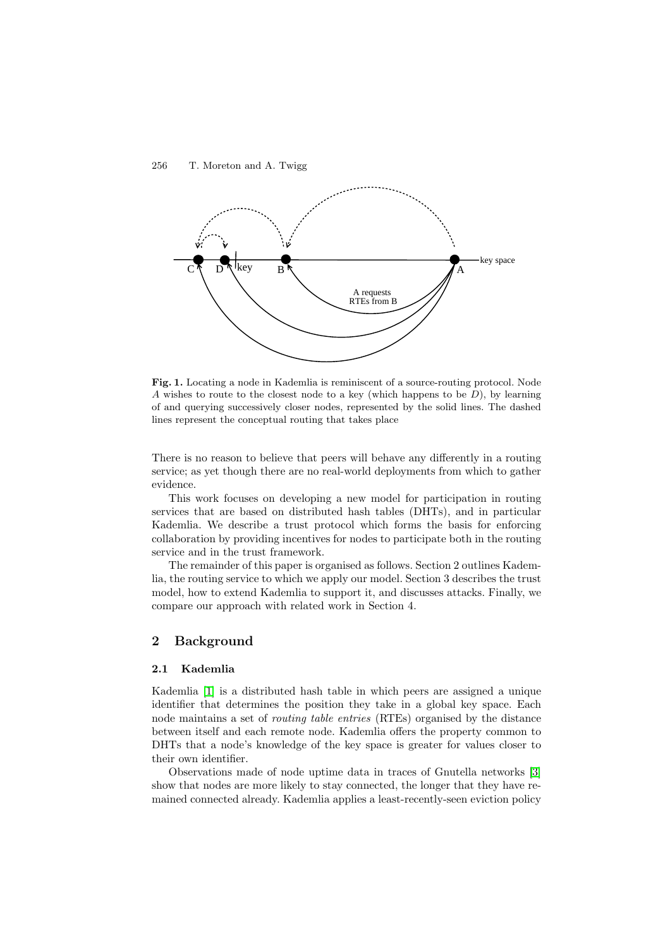<span id="page-1-0"></span>

**Fig. 1.** Locating a node in Kademlia is reminiscent of a source-routing protocol. Node A wishes to route to the closest node to a key (which happens to be  $D$ ), by learning of and querying successively closer nodes, represented by the solid lines. The dashed lines represent the conceptual routing that takes place

There is no reason to believe that peers will behave any differently in a routing service; as yet though there are no real-world deployments from which to gather evidence.

This work focuses on developing a new model for participation in routing services that are based on distributed hash tables (DHTs), and in particular Kademlia. We describe a trust protocol which forms the basis for enforcing collaboration by providing incentives for nodes to participate both in the routing service and in the trust framework.

The remainder of this paper is organised as follows. Section 2 outlines Kademlia, the routing service to which we apply our model. Section 3 describes the trust model, how to extend Kademlia to support it, and discusses attacks. Finally, we compare our approach with related work in Section 4.

# **2 Background**

### **2.1 Kademlia**

Kademlia [\[1\]](#page-14-0) is a distributed hash table in which peers are assigned a unique identifier that determines the position they take in a global key space. Each node maintains a set of routing table entries (RTEs) organised by the distance between itself and each remote node. Kademlia offers the property common to DHTs that a node's knowledge of the key space is greater for values closer to their own identifier.

Observations made of node uptime data in traces of Gnutella networks [\[3\]](#page-14-0) show that nodes are more likely to stay connected, the longer that they have remained connected already. Kademlia applies a least-recently-seen eviction policy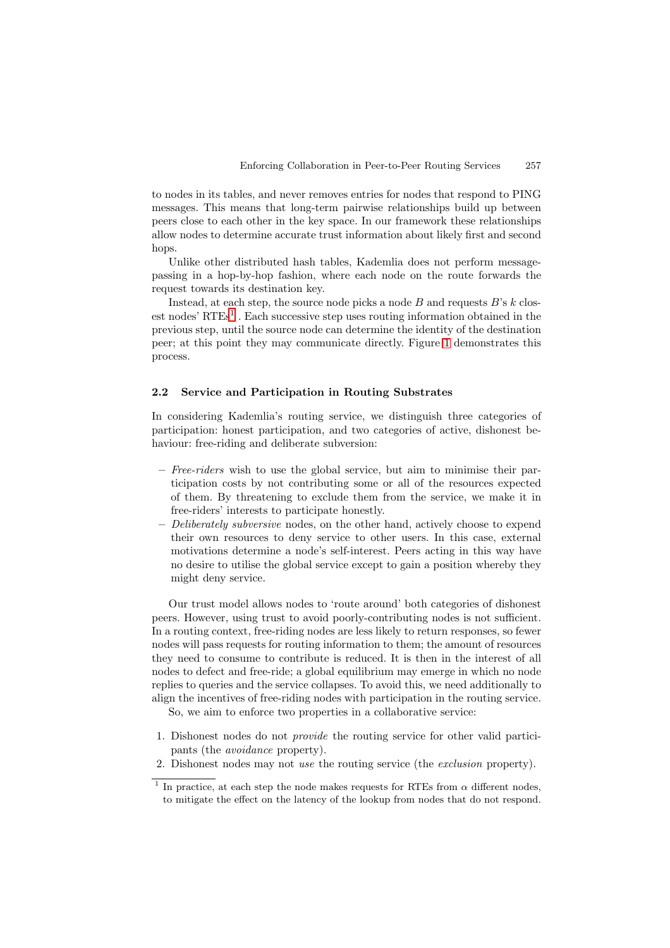to nodes in its tables, and never removes entries for nodes that respond to PING messages. This means that long-term pairwise relationships build up between peers close to each other in the key space. In our framework these relationships allow nodes to determine accurate trust information about likely first and second hops.

Unlike other distributed hash tables, Kademlia does not perform messagepassing in a hop-by-hop fashion, where each node on the route forwards the request towards its destination key.

Instead, at each step, the source node picks a node  $B$  and requests  $B$ 's k closest nodes'  $RTEs<sup>1</sup>$ . Each successive step uses routing information obtained in the previous step, until the source node can determine the identity of the destination peer; at this point they may communicate directly. Figure [1](#page-1-0) demonstrates this process.

#### **2.2 Service and Participation in Routing Substrates**

In considering Kademlia's routing service, we distinguish three categories of participation: honest participation, and two categories of active, dishonest behaviour: free-riding and deliberate subversion:

- **–** Free-riders wish to use the global service, but aim to minimise their participation costs by not contributing some or all of the resources expected of them. By threatening to exclude them from the service, we make it in free-riders' interests to participate honestly.
- **–** Deliberately subversive nodes, on the other hand, actively choose to expend their own resources to deny service to other users. In this case, external motivations determine a node's self-interest. Peers acting in this way have no desire to utilise the global service except to gain a position whereby they might deny service.

Our trust model allows nodes to 'route around' both categories of dishonest peers. However, using trust to avoid poorly-contributing nodes is not sufficient. In a routing context, free-riding nodes are less likely to return responses, so fewer nodes will pass requests for routing information to them; the amount of resources they need to consume to contribute is reduced. It is then in the interest of all nodes to defect and free-ride; a global equilibrium may emerge in which no node replies to queries and the service collapses. To avoid this, we need additionally to align the incentives of free-riding nodes with participation in the routing service.

So, we aim to enforce two properties in a collaborative service:

- 1. Dishonest nodes do not provide the routing service for other valid participants (the avoidance property).
- 2. Dishonest nodes may not use the routing service (the exclusion property).

<sup>&</sup>lt;sup>1</sup> In practice, at each step the node makes requests for RTEs from  $\alpha$  different nodes, to mitigate the effect on the latency of the lookup from nodes that do not respond.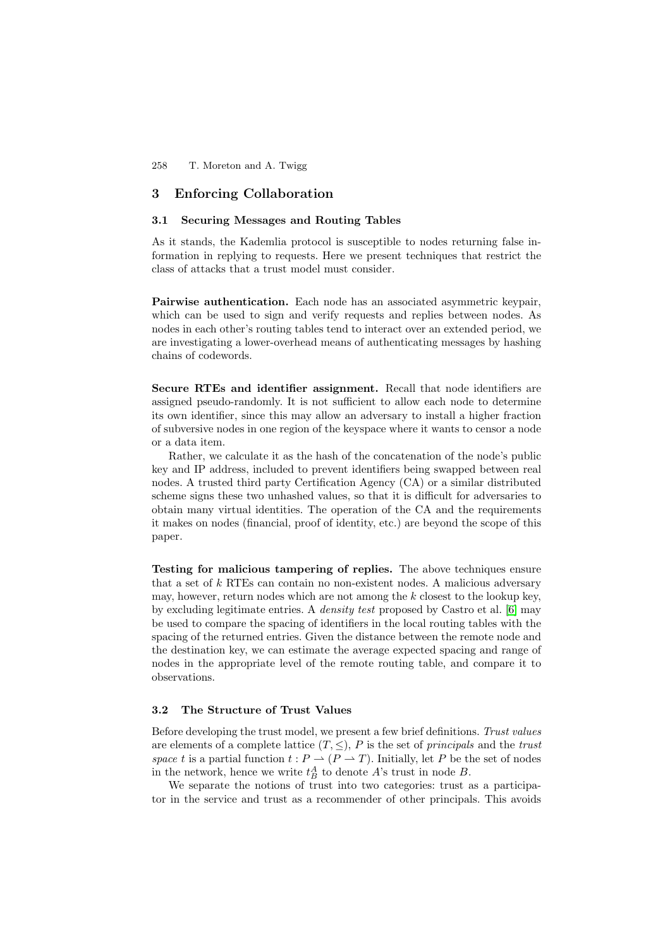# <span id="page-3-0"></span>**3 Enforcing Collaboration**

## **3.1 Securing Messages and Routing Tables**

As it stands, the Kademlia protocol is susceptible to nodes returning false information in replying to requests. Here we present techniques that restrict the class of attacks that a trust model must consider.

Pairwise authentication. Each node has an associated asymmetric keypair, which can be used to sign and verify requests and replies between nodes. As nodes in each other's routing tables tend to interact over an extended period, we are investigating a lower-overhead means of authenticating messages by hashing chains of codewords.

**Secure RTEs and identifier assignment.** Recall that node identifiers are assigned pseudo-randomly. It is not sufficient to allow each node to determine its own identifier, since this may allow an adversary to install a higher fraction of subversive nodes in one region of the keyspace where it wants to censor a node or a data item.

Rather, we calculate it as the hash of the concatenation of the node's public key and IP address, included to prevent identifiers being swapped between real nodes. A trusted third party Certification Agency (CA) or a similar distributed scheme signs these two unhashed values, so that it is difficult for adversaries to obtain many virtual identities. The operation of the CA and the requirements it makes on nodes (financial, proof of identity, etc.) are beyond the scope of this paper.

**Testing for malicious tampering of replies.** The above techniques ensure that a set of k RTEs can contain no non-existent nodes. A malicious adversary may, however, return nodes which are not among the  $k$  closest to the lookup key, by excluding legitimate entries. A density test proposed by Castro et al. [\[6\]](#page-15-0) may be used to compare the spacing of identifiers in the local routing tables with the spacing of the returned entries. Given the distance between the remote node and the destination key, we can estimate the average expected spacing and range of nodes in the appropriate level of the remote routing table, and compare it to observations.

# **3.2 The Structure of Trust Values**

Before developing the trust model, we present a few brief definitions. Trust values are elements of a complete lattice  $(T, \leq), P$  is the set of *principals* and the *trust* space t is a partial function  $t : P \to (P \to T)$ . Initially, let P be the set of nodes in the network, hence we write  $t_B^A$  to denote A's trust in node B.

We separate the notions of trust into two categories: trust as a participator in the service and trust as a recommender of other principals. This avoids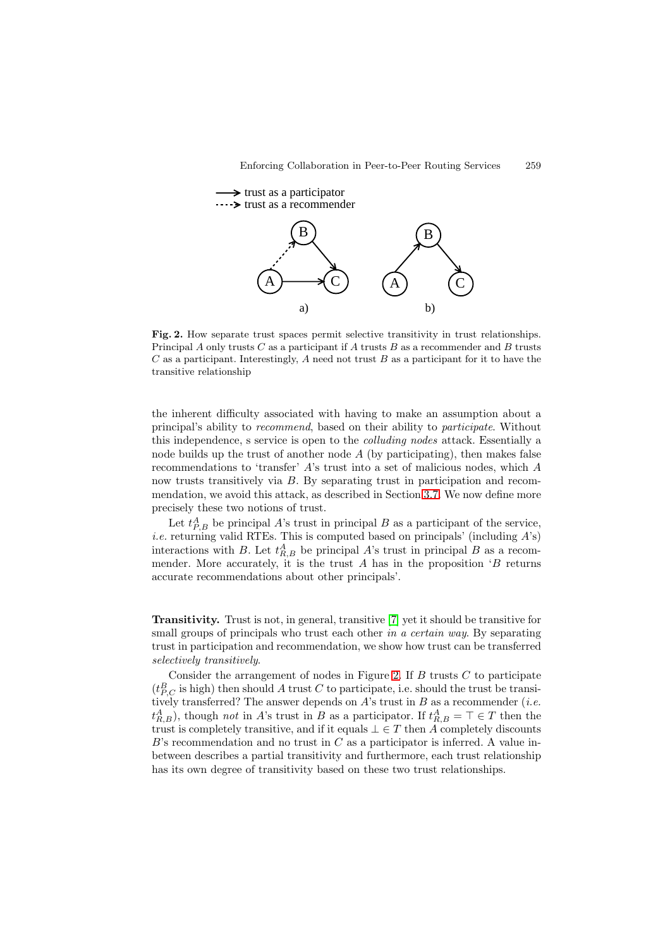

Fig. 2. How separate trust spaces permit selective transitivity in trust relationships. Principal A only trusts C as a participant if A trusts B as a recommender and B trusts  $C$  as a participant. Interestingly,  $A$  need not trust  $B$  as a participant for it to have the transitive relationship

the inherent difficulty associated with having to make an assumption about a principal's ability to recommend, based on their ability to participate. Without this independence, s service is open to the colluding nodes attack. Essentially a node builds up the trust of another node  $A$  (by participating), then makes false recommendations to 'transfer' A's trust into a set of malicious nodes, which A now trusts transitively via B. By separating trust in participation and recommendation, we avoid this attack, as described in Section [3.7.](#page-10-0) We now define more precisely these two notions of trust.

Let  $t_{P,B}^A$  be principal A's trust in principal B as a participant of the service, *i.e.* returning valid RTEs. This is computed based on principals' (including  $A$ 's) interactions with B. Let  $t_{R,B}^A$  be principal A's trust in principal B as a recommender. More accurately, it is the trust A has in the proposition  $B$  returns accurate recommendations about other principals'.

**Transitivity.** Trust is not, in general, transitive [\[7\]](#page-15-0) yet it should be transitive for small groups of principals who trust each other in a certain way. By separating trust in participation and recommendation, we show how trust can be transferred selectively transitively.

Consider the arrangement of nodes in Figure 2. If  $B$  trusts  $C$  to participate  $(t_{P,C}^B)$  is high) then should A trust C to participate, i.e. should the trust be transitively transferred? The answer depends on  $A$ 's trust in  $B$  as a recommender (*i.e.*  $t_{R,B}^A$ ), though *not* in A's trust in B as a participator. If  $t_{R,B}^A = \top \in T$  then the trust is completely transitive, and if it equals  $\bot \in T$  then A completely discounts  $B$ 's recommendation and no trust in C as a participator is inferred. A value inbetween describes a partial transitivity and furthermore, each trust relationship has its own degree of transitivity based on these two trust relationships.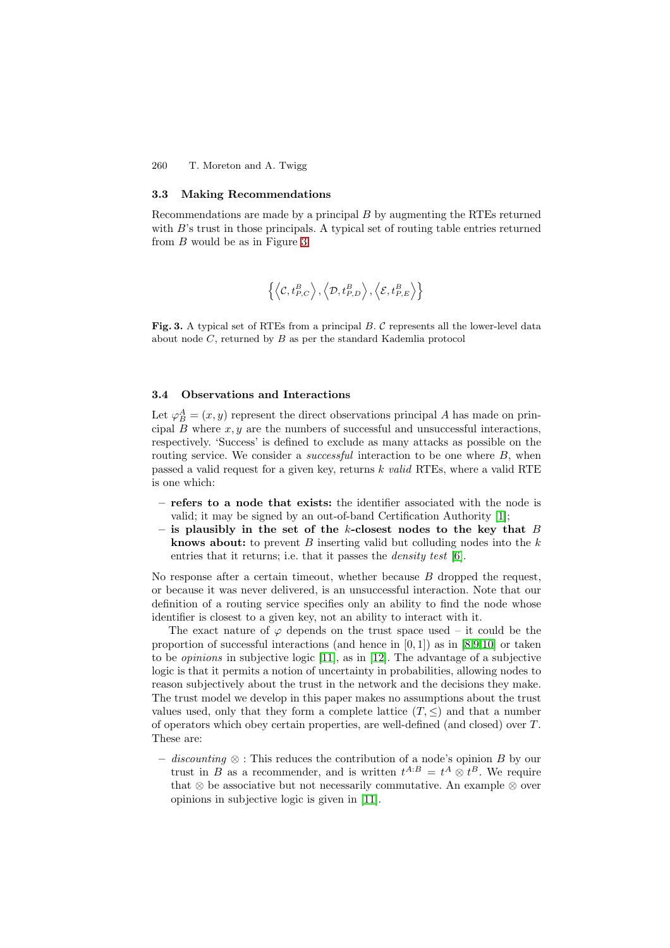#### **3.3 Making Recommendations**

Recommendations are made by a principal B by augmenting the RTEs returned with B's trust in those principals. A typical set of routing table entries returned from B would be as in Figure 3.

$$
\left\{ \left\langle \mathcal{C},t_{P,C}^{B}\right\rangle ,\left\langle \mathcal{D},t_{P,D}^{B}\right\rangle ,\left\langle \mathcal{E},t_{P,E}^{B}\right\rangle \right\}
$$

**Fig. 3.** A typical set of RTEs from a principal B. C represents all the lower-level data about node  $C$ , returned by  $B$  as per the standard Kademlia protocol

#### **3.4 Observations and Interactions**

Let  $\varphi_B^A = (x, y)$  represent the direct observations principal A has made on principal  $B$  where  $x, y$  are the numbers of successful and unsuccessful interactions, respectively. 'Success' is defined to exclude as many attacks as possible on the routing service. We consider a *successful* interaction to be one where  $B$ , when passed a valid request for a given key, returns k valid RTEs, where a valid RTE is one which:

- **refers to a node that exists:** the identifier associated with the node is valid; it may be signed by an out-of-band Certification Authority [\[1\]](#page-14-0);
- **is plausibly in the set of the** k**-closest nodes to the key that** B **knows about:** to prevent B inserting valid but colluding nodes into the k entries that it returns; i.e. that it passes the *density test* [\[6\]](#page-15-0).

No response after a certain timeout, whether because  $B$  dropped the request, or because it was never delivered, is an unsuccessful interaction. Note that our definition of a routing service specifies only an ability to find the node whose identifier is closest to a given key, not an ability to interact with it.

The exact nature of  $\varphi$  depends on the trust space used – it could be the proportion of successful interactions (and hence in  $[0, 1]$ ) as in  $[8, 9, 10]$  or taken to be opinions in subjective logic [\[11\]](#page-15-0), as in [\[12\]](#page-15-0). The advantage of a subjective logic is that it permits a notion of uncertainty in probabilities, allowing nodes to reason subjectively about the trust in the networkand the decisions they make. The trust model we develop in this paper makes no assumptions about the trust values used, only that they form a complete lattice  $(T, \leq)$  and that a number of operators which obey certain properties, are well-defined (and closed) over T. These are:

**–** discounting ⊗ : This reduces the contribution of a node's opinion B by our trust in B as a recommender, and is written  $t^{A:B} = t^A \otimes t^B$ . We require that  $\otimes$  be associative but not necessarily commutative. An example  $\otimes$  over opinions in subjective logic is given in [\[11\]](#page-15-0).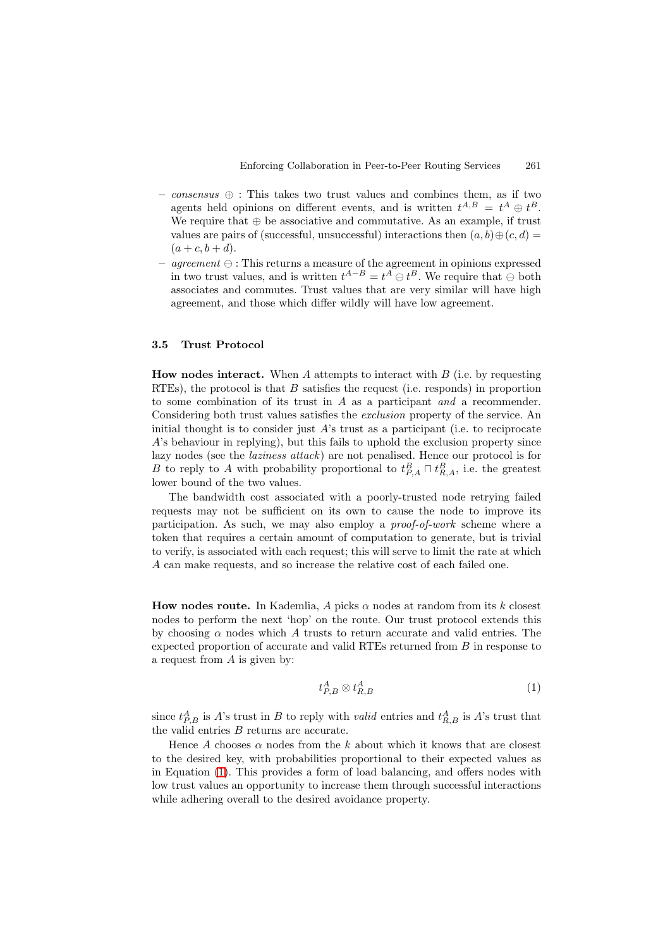- **–** consensus ⊕ : This takes two trust values and combines them, as if two agents held opinions on different events, and is written  $t^{A,B} = t^A \oplus t^B$ . We require that  $\oplus$  be associative and commutative. As an example, if trust values are pairs of (successful, unsuccessful) interactions then  $(a, b) \oplus (c, d)$  $(a + c, b + d).$
- $-$  *agreement*  $\ominus$  : This returns a measure of the agreement in opinions expressed in two trust values, and is written  $t^{A-B} = t^A \ominus t^B$ . We require that  $\ominus$  both associates and commutes. Trust values that are very similar will have high agreement, and those which differ wildly will have low agreement.

#### **3.5 Trust Protocol**

**How nodes interact.** When A attempts to interact with B (i.e. by requesting RTEs), the protocol is that  $B$  satisfies the request (i.e. responds) in proportion to some combination of its trust in A as a participant and a recommender. Considering both trust values satisfies the exclusion property of the service. An initial thought is to consider just A's trust as a participant (i.e. to reciprocate A's behaviour in replying), but this fails to uphold the exclusion property since lazy nodes (see the *laziness attack*) are not penalised. Hence our protocol is for B to reply to A with probability proportional to  $t_{P,A}^B \sqcap t_{R,A}^B$ , i.e. the greatest lower bound of the two values.

The bandwidth cost associated with a poorly-trusted node retrying failed requests may not be sufficient on its own to cause the node to improve its participation. As such, we may also employ a proof-of-work scheme where a token that requires a certain amount of computation to generate, but is trivial to verify, is associated with each request; this will serve to limit the rate at which A can make requests, and so increase the relative cost of each failed one.

**How nodes route.** In Kademlia, A picks  $\alpha$  nodes at random from its k closest nodes to perform the next 'hop' on the route. Our trust protocol extends this by choosing  $\alpha$  nodes which A trusts to return accurate and valid entries. The expected proportion of accurate and valid RTEs returned from B in response to a request from  $A$  is given by:

$$
t^A_{P,B} \otimes t^A_{R,B} \tag{1}
$$

since  $t_{P,B}^A$  is A's trust in B to reply with *valid* entries and  $t_{R,B}^A$  is A's trust that the valid entries B returns are accurate.

Hence A chooses  $\alpha$  nodes from the k about which it knows that are closest to the desired key, with probabilities proportional to their expected values as in Equation (1). This provides a form of load balancing, and offers nodes with low trust values an opportunity to increase them through successful interactions while adhering overall to the desired avoidance property.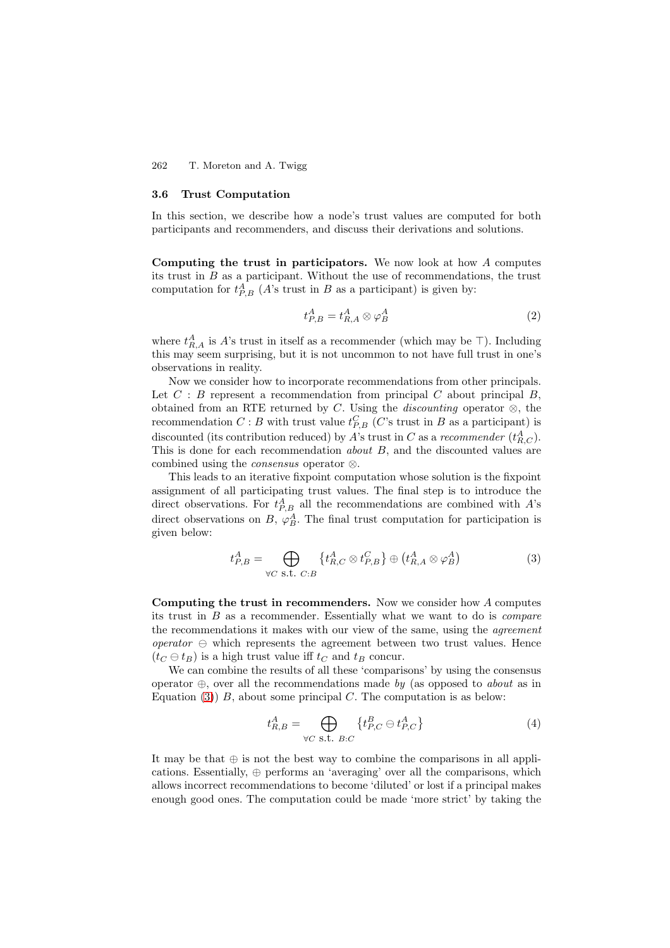#### <span id="page-7-0"></span>**3.6 Trust Computation**

In this section, we describe how a node's trust values are computed for both participants and recommenders, and discuss their derivations and solutions.

**Computing the trust in participators.** We now lookat how A computes its trust in  $B$  as a participant. Without the use of recommendations, the trust computation for  $t_{P,B}^A$  (A's trust in B as a participant) is given by:

$$
t_{P,B}^A = t_{R,A}^A \otimes \varphi_B^A \tag{2}
$$

where  $t_{R,A}^A$  is A's trust in itself as a recommender (which may be  $\top$ ). Including this may seem surprising, but it is not uncommon to not have full trust in one's observations in reality.

Now we consider how to incorporate recommendations from other principals. Let  $C : B$  represent a recommendation from principal  $C$  about principal  $B$ , obtained from an RTE returned by C. Using the *discounting* operator  $\otimes$ , the recommendation  $C : B$  with trust value  $t_{P,B}^C$  (C's trust in B as a participant) is discounted (its contribution reduced) by A's trust in C as a recommender  $(t_{R,C}^A)$ . This is done for each recommendation about B, and the discounted values are combined using the consensus operator ⊗.

This leads to an iterative fixpoint computation whose solution is the fixpoint assignment of all participating trust values. The final step is to introduce the direct observations. For  $t_{P,B}^A$  all the recommendations are combined with  $A$ 's direct observations on B,  $\varphi_B^A$ . The final trust computation for participation is given below:

$$
t_{P,B}^A = \bigoplus_{\forall C \text{ s.t. } C:B} \{t_{R,C}^A \otimes t_{P,B}^C\} \oplus (t_{R,A}^A \otimes \varphi_B^A) \tag{3}
$$

**Computing the trust in recommenders.** Now we consider how A computes its trust in  $B$  as a recommender. Essentially what we want to do is *compare* the recommendations it makes with our view of the same, using the agreement *operator*  $\ominus$  which represents the agreement between two trust values. Hence  $(t_C \ominus t_B)$  is a high trust value iff  $t_C$  and  $t_B$  concur.

We can combine the results of all these 'comparisons' by using the consensus operator  $\oplus$ , over all the recommendations made by (as opposed to about as in Equation (3))  $B$ , about some principal  $C$ . The computation is as below:

$$
t_{R,B}^A = \bigoplus_{\forall C \text{ s.t. } B:C} \{t_{P,C}^B \ominus t_{P,C}^A\} \tag{4}
$$

It may be that ⊕ is not the best way to combine the comparisons in all applications. Essentially,  $\oplus$  performs an 'averaging' over all the comparisons, which allows incorrect recommendations to become 'diluted' or lost if a principal makes enough good ones. The computation could be made 'more strict' by taking the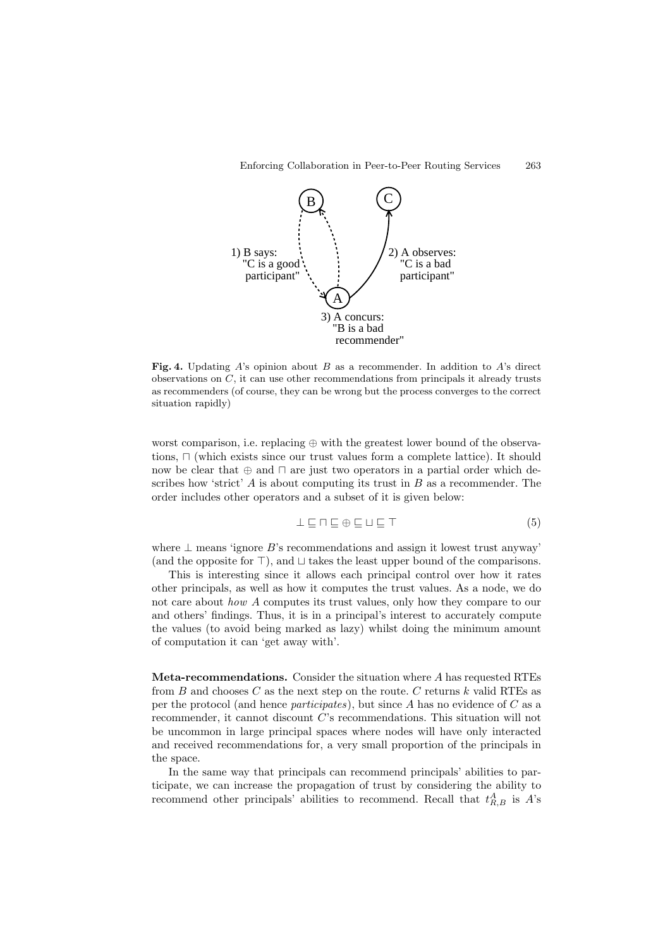

**Fig. 4.** Updating A's opinion about B as a recommender. In addition to A's direct observations on C, it can use other recommendations from principals it already trusts as recommenders (of course, they can be wrong but the process converges to the correct situation rapidly)

worst comparison, i.e. replacing  $\oplus$  with the greatest lower bound of the observations,  $\Box$  (which exists since our trust values form a complete lattice). It should now be clear that  $\oplus$  and  $\Box$  are just two operators in a partial order which describes how 'strict'  $\vec{A}$  is about computing its trust in  $\vec{B}$  as a recommender. The order includes other operators and a subset of it is given below:

$$
\perp \sqsubseteq \sqcap \sqsubseteq \oplus \sqsubseteq \sqcup \sqsubseteq \top \tag{5}
$$

where  $\perp$  means 'ignore B's recommendations and assign it lowest trust anyway' (and the opposite for  $\top$ ), and  $\sqcup$  takes the least upper bound of the comparisons.

This is interesting since it allows each principal control over how it rates other principals, as well as how it computes the trust values. As a node, we do not care about how A computes its trust values, only how they compare to our and others' findings. Thus, it is in a principal's interest to accurately compute the values (to avoid being marked as lazy) whilst doing the minimum amount of computation it can 'get away with'.

**Meta-recommendations.** Consider the situation where A has requested RTEs from B and chooses C as the next step on the route. C returns k valid RTEs as per the protocol (and hence participates), but since A has no evidence of C as a recommender, it cannot discount C's recommendations. This situation will not be uncommon in large principal spaces where nodes will have only interacted and received recommendations for, a very small proportion of the principals in the space.

In the same way that principals can recommend principals' abilities to participate, we can increase the propagation of trust by considering the ability to recommend other principals' abilities to recommend. Recall that  $t_{R,B}^A$  is  $A$ 's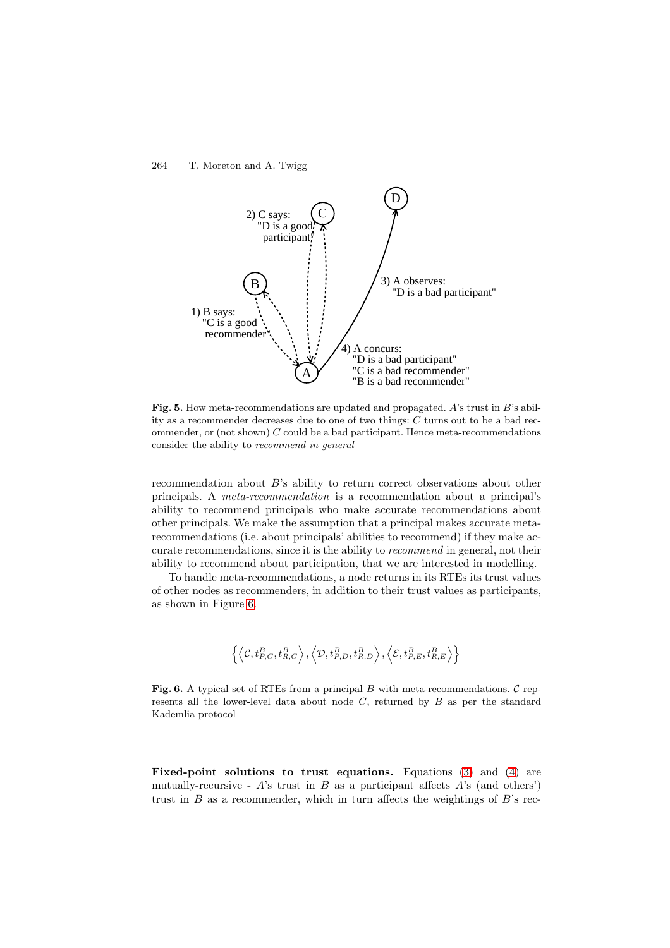

**Fig. 5.** Howmeta-recommendations are updated and propagated. A's trust in B's ability as a recommender decreases due to one of two things: C turns out to be a bad recommender, or (not shown)  $C$  could be a bad participant. Hence meta-recommendations consider the ability to recommend in general

recommendation about B's ability to return correct observations about other principals. A meta-recommendation is a recommendation about a principal's ability to recommend principals who make accurate recommendations about other principals. We make the assumption that a principal makes accurate metarecommendations (i.e. about principals' abilities to recommend) if they make accurate recommendations, since it is the ability to recommend in general, not their ability to recommend about participation, that we are interested in modelling.

To handle meta-recommendations, a node returns in its RTEs its trust values of other nodes as recommenders, in addition to their trust values as participants, as shown in Figure 6.

$$
\left\{\left\langle \mathcal{C},t^{B}_{P,C},t^{B}_{R,C}\right\rangle ,\left\langle \mathcal{D},t^{B}_{P,D},t^{B}_{R,D}\right\rangle ,\left\langle \mathcal{E},t^{B}_{P,E},t^{B}_{R,E}\right\rangle \right\}
$$

**Fig. 6.** A typical set of RTEs from a principal B with meta-recommendations. C represents all the lower-level data about node  $C$ , returned by  $B$  as per the standard Kademlia protocol

**Fixed-point solutions to trust equations.** Equations [\(3\)](#page-7-0) and [\(4\)](#page-7-0) are mutually-recursive -  $A$ 's trust in B as a participant affects  $A$ 's (and others') trust in  $B$  as a recommender, which in turn affects the weightings of  $B$ 's rec-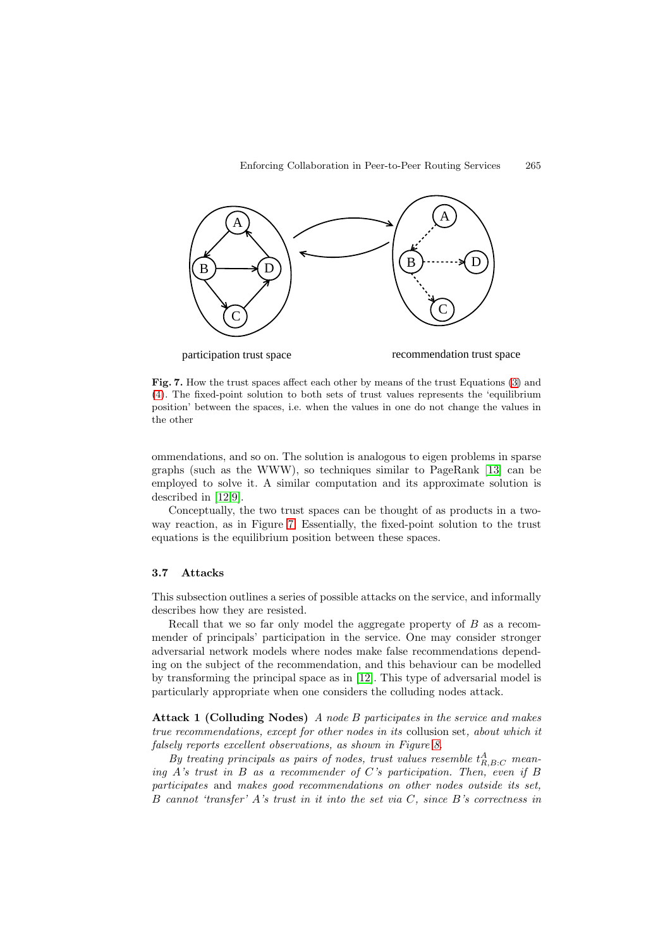<span id="page-10-0"></span>

participation trust space recommendation trust space

**Fig. 7.** How the trust spaces affect each other by means of the trust Equations [\(3\)](#page-7-0) and [\(4\)](#page-7-0). The fixed-point solution to both sets of trust values represents the 'equilibrium position' between the spaces, i.e. when the values in one do not change the values in the other

ommendations, and so on. The solution is analogous to eigen problems in sparse graphs (such as the WWW), so techniques similar to PageRank [\[13\]](#page-15-0) can be employed to solve it. A similar computation and its approximate solution is described in [\[12,9\]](#page-15-0).

Conceptually, the two trust spaces can be thought of as products in a twoway reaction, as in Figure 7. Essentially, the fixed-point solution to the trust equations is the equilibrium position between these spaces.

#### **3.7 Attacks**

This subsection outlines a series of possible attacks on the service, and informally describes how they are resisted.

Recall that we so far only model the aggregate property of  $B$  as a recommender of principals' participation in the service. One may consider stronger adversarial network models where nodes make false recommendations depending on the subject of the recommendation, and this behaviour can be modelled by transforming the principal space as in [\[12\]](#page-15-0). This type of adversarial model is particularly appropriate when one considers the colluding nodes attack.

**Attack 1 (Colluding Nodes)** A node B participates in the service and makes true recommendations, except for other nodes in its collusion set, about which it falsely reports excellent observations, as shown in Figure [8.](#page-11-0)

By treating principals as pairs of nodes, trust values resemble  $t_{R,B:C}^{A}$  meaning A's trust in B as a recommender of C's participation. Then, even if B participates and makes good recommendations on other nodes outside its set, B cannot 'transfer' A's trust in it into the set via C, since B's correctness in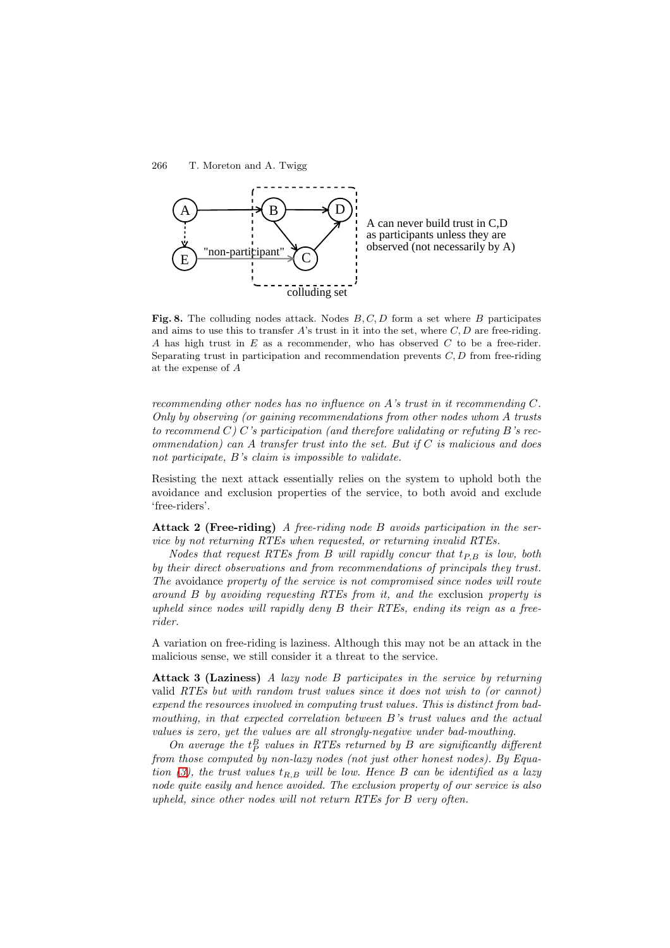<span id="page-11-0"></span>

A can never build trust in C,D as participants unless they are

**Fig. 8.** The colluding nodes attack. Nodes  $B, C, D$  form a set where B participates and aims to use this to transfer  $A$ 's trust in it into the set, where  $C, D$  are free-riding. A has high trust in  $E$  as a recommender, who has observed  $C$  to be a free-rider. Separating trust in participation and recommendation prevents  $C, D$  from free-riding at the expense of A

recommending other nodes has no influence on A's trust in it recommending C. Only by observing (or gaining recommendations from other nodes whom A trusts to recommend  $C$ ) C's participation (and therefore validating or refuting B's recommendation) can A transfer trust into the set. But if  $C$  is malicious and does not participate, B's claim is impossible to validate.

Resisting the next attack essentially relies on the system to uphold both the avoidance and exclusion properties of the service, to both avoid and exclude 'free-riders'.

**Attack 2 (Free-riding)** A free-riding node B avoids participation in the service by not returning RTEs when requested, or returning invalid RTEs.

Nodes that request RTEs from B will rapidly concur that  $t_{P,B}$  is low, both by their direct observations and from recommendations of principals they trust. The avoidance property of the service is not compromised since nodes will route around B by avoiding requesting RTEs from it, and the exclusion property is upheld since nodes will rapidly deny B their RTEs, ending its reign as a freerider.

A variation on free-riding is laziness. Although this may not be an attackin the malicious sense, we still consider it a threat to the service.

**Attack 3 (Laziness)** A lazy node B participates in the service by returning valid RTEs but with random trust values since it does not wish to (or cannot) expend the resources involved in computing trust values. This is distinct from badmouthing, in that expected correlation between B's trust values and the actual values is zero, yet the values are all strongly-negative under bad-mouthing.

On average the  $t_P^B$  values in RTEs returned by B are significantly different from those computed by non-lazy nodes (not just other honest nodes). By Equa-tion [\(3\)](#page-7-0), the trust values  $t_{R,B}$  will be low. Hence B can be identified as a lazy node quite easily and hence avoided. The exclusion property of our service is also upheld, since other nodes will not return RTEs for B very often.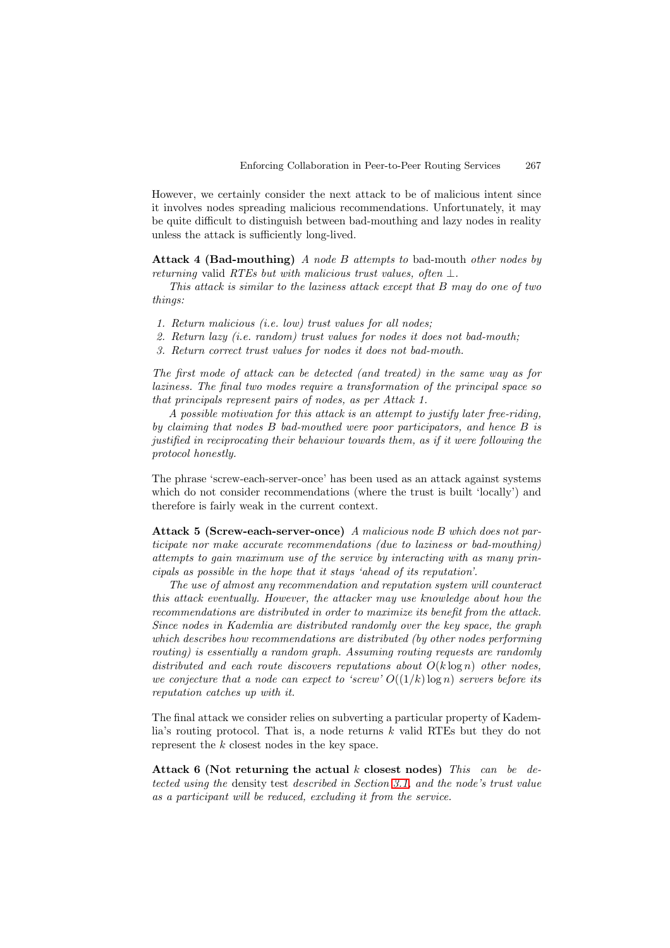However, we certainly consider the next attack to be of malicious intent since it involves nodes spreading malicious recommendations. Unfortunately, it may be quite difficult to distinguish between bad-mouthing and lazy nodes in reality unless the attack is sufficiently long-lived.

**Attack 4 (Bad-mouthing)** A node B attempts to bad-mouth other nodes by returning valid RTEs but with malicious trust values, often  $\bot$ .

This attack is similar to the laziness attack except that B may do one of two things:

1. Return malicious (i.e. low) trust values for all nodes;

- 2. Return lazy (i.e. random) trust values for nodes it does not bad-mouth;
- 3. Return correct trust values for nodes it does not bad-mouth.

The first mode of attack can be detected (and treated) in the same way as for laziness. The final two modes require a transformation of the principal space so that principals represent pairs of nodes, as per Attack 1.

A possible motivation for this attack is an attempt to justify later free-riding, by claiming that nodes B bad-mouthed were poor participators, and hence B is justified in reciprocating their behaviour towards them, as if it were following the protocol honestly.

The phrase 'screw-each-server-once' has been used as an attackagainst systems which do not consider recommendations (where the trust is built 'locally') and therefore is fairly weak in the current context.

**Attack 5 (Screw-each-server-once)** A malicious node B which does not participate nor make accurate recommendations (due to laziness or bad-mouthing) attempts to gain maximum use of the service by interacting with as many principals as possible in the hope that it stays 'ahead of its reputation'.

The use of almost any recommendation and reputation system will counteract this attack eventually. However, the attacker may use knowledge about how the recommendations are distributed in order to maximize its benefit from the attack. Since nodes in Kademlia are distributed randomly over the key space, the graph which describes how recommendations are distributed (by other nodes performing routing) is essentially a random graph. Assuming routing requests are randomly distributed and each route discovers reputations about  $O(k \log n)$  other nodes, we conjecture that a node can expect to 'screw'  $O((1/k) \log n)$  servers before its reputation catches up with it.

The final attack we consider relies on subverting a particular property of Kademlia's routing protocol. That is, a node returns k valid RTEs but they do not represent the k closest nodes in the key space.

**Attack 6 (Not returning the actual** k **closest nodes)** This can be detected using the density test described in Section [3.1,](#page-3-0) and the node's trust value as a participant will be reduced, excluding it from the service.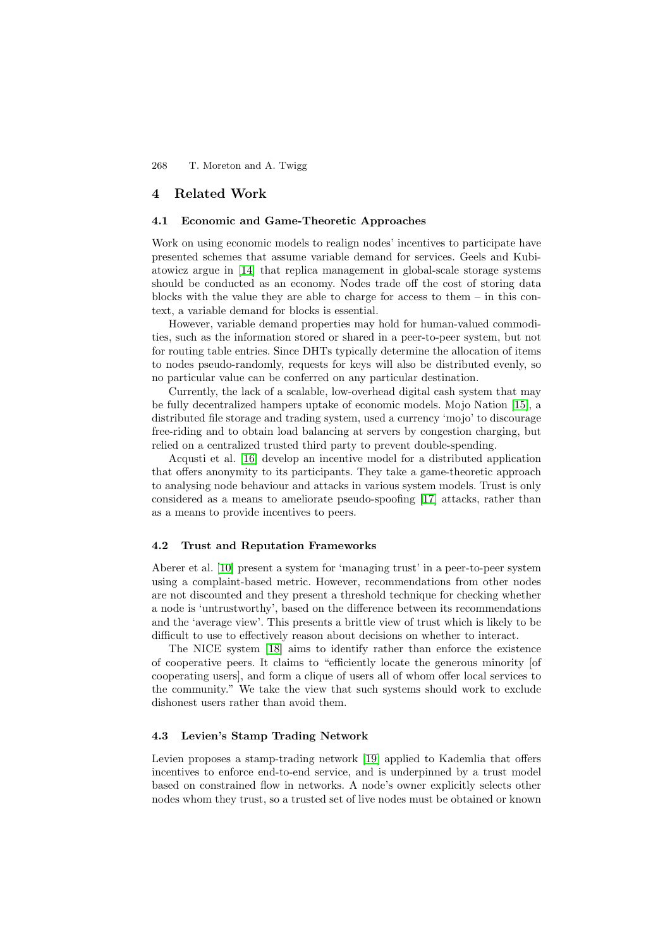### **4 Related Work**

#### **4.1 Economic and Game-Theoretic Approaches**

Work on using economic models to realign nodes' incentives to participate have presented schemes that assume variable demand for services. Geels and Kubiatowicz argue in [\[14\]](#page-15-0) that replica management in global-scale storage systems should be conducted as an economy. Nodes trade off the cost of storing data blocks with the value they are able to charge for access to them – in this context, a variable demand for blocks is essential.

However, variable demand properties may hold for human-valued commodities, such as the information stored or shared in a peer-to-peer system, but not for routing table entries. Since DHTs typically determine the allocation of items to nodes pseudo-randomly, requests for keys will also be distributed evenly, so no particular value can be conferred on any particular destination.

Currently, the lack of a scalable, low-overhead digital cash system that may be fully decentralized hampers uptake of economic models. Mojo Nation [\[15\]](#page-15-0), a distributed file storage and trading system, used a currency 'mojo' to discourage free-riding and to obtain load balancing at servers by congestion charging, but relied on a centralized trusted third party to prevent double-spending.

Acqusti et al. [\[16\]](#page-15-0) develop an incentive model for a distributed application that offers anonymity to its participants. They take a game-theoretic approach to analysing node behaviour and attacks in various system models. Trust is only considered as a means to ameliorate pseudo-spoofing [\[17\]](#page-15-0) attacks, rather than as a means to provide incentives to peers.

#### **4.2 Trust and Reputation Frameworks**

Aberer et al. [\[10\]](#page-15-0) present a system for 'managing trust' in a peer-to-peer system using a complaint-based metric. However, recommendations from other nodes are not discounted and they present a threshold technique for checking whether a node is 'untrustworthy', based on the difference between its recommendations and the 'average view'. This presents a brittle view of trust which is likely to be difficult to use to effectively reason about decisions on whether to interact.

The NICE system [\[18\]](#page-15-0) aims to identify rather than enforce the existence of cooperative peers. It claims to "efficiently locate the generous minority [of cooperating users], and form a clique of users all of whom offer local services to the community." We take the view that such systems should work to exclude dishonest users rather than avoid them.

#### **4.3 Levien's Stamp Trading Network**

Levien proposes a stamp-trading network [\[19\]](#page-15-0) applied to Kademlia that offers incentives to enforce end-to-end service, and is underpinned by a trust model based on constrained flow in networks. A node's owner explicitly selects other nodes whom they trust, so a trusted set of live nodes must be obtained or known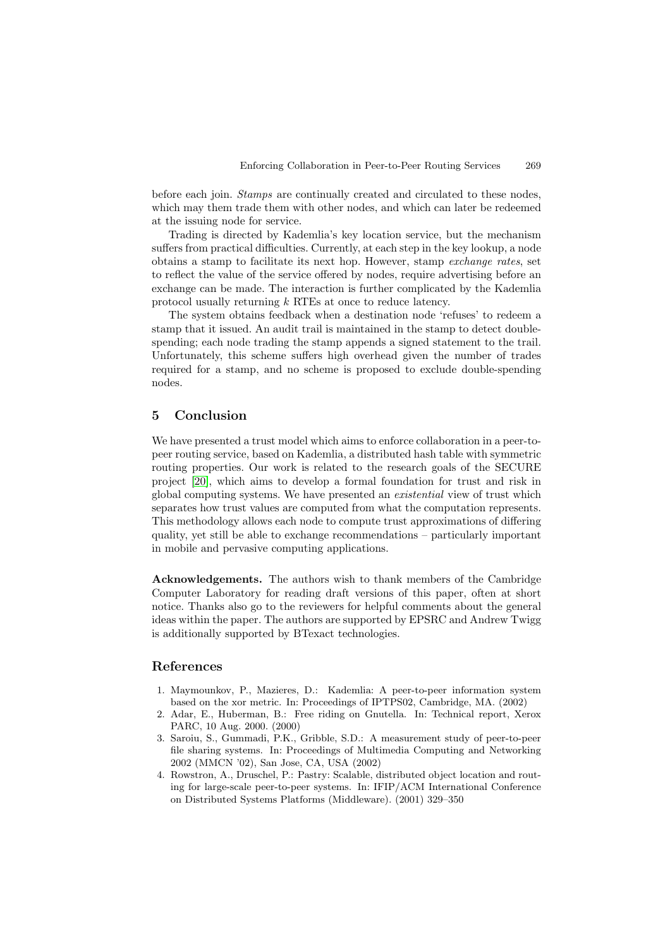<span id="page-14-0"></span>before each join. Stamps are continually created and circulated to these nodes, which may them trade them with other nodes, and which can later be redeemed at the issuing node for service.

Trading is directed by Kademlia's key location service, but the mechanism suffers from practical difficulties. Currently, at each step in the key lookup, a node obtains a stamp to facilitate its next hop. However, stamp exchange rates, set to reflect the value of the service offered by nodes, require advertising before an exchange can be made. The interaction is further complicated by the Kademlia protocol usually returning k RTEs at once to reduce latency.

The system obtains feedbackwhen a destination node 'refuses' to redeem a stamp that it issued. An audit trail is maintained in the stamp to detect doublespending; each node trading the stamp appends a signed statement to the trail. Unfortunately, this scheme suffers high overhead given the number of trades required for a stamp, and no scheme is proposed to exclude double-spending nodes.

### **5 Conclusion**

We have presented a trust model which aims to enforce collaboration in a peer-topeer routing service, based on Kademlia, a distributed hash table with symmetric routing properties. Our workis related to the research goals of the SECURE project [\[20\]](#page-15-0), which aims to develop a formal foundation for trust and riskin global computing systems. We have presented an existential view of trust which separates how trust values are computed from what the computation represents. This methodology allows each node to compute trust approximations of differing quality, yet still be able to exchange recommendations – particularly important in mobile and pervasive computing applications.

Acknowledgements. The authors wish to thank members of the Cambridge Computer Laboratory for reading draft versions of this paper, often at short notice. Thanks also go to the reviewers for helpful comments about the general ideas within the paper. The authors are supported by EPSRC and Andrew Twigg is additionally supported by BTexact technologies.

## **References**

- 1. Maymounkov, P., Mazieres, D.: Kademlia: A peer-to-peer information system based on the xor metric. In: Proceedings of IPTPS02, Cambridge, MA. (2002)
- 2. Adar, E., Huberman, B.: Free riding on Gnutella. In: Technical report, Xerox PARC, 10 Aug. 2000. (2000)
- 3. Saroiu, S., Gummadi, P.K., Gribble, S.D.: A measurement study of peer-to-peer file sharing systems. In: Proceedings of Multimedia Computing and Networking 2002 (MMCN '02), San Jose, CA, USA (2002)
- 4. Rowstron, A., Druschel, P.: Pastry: Scalable, distributed object location and routing for large-scale peer-to-peer systems. In: IFIP/ACM International Conference on Distributed Systems Platforms (Middleware). (2001) 329–350